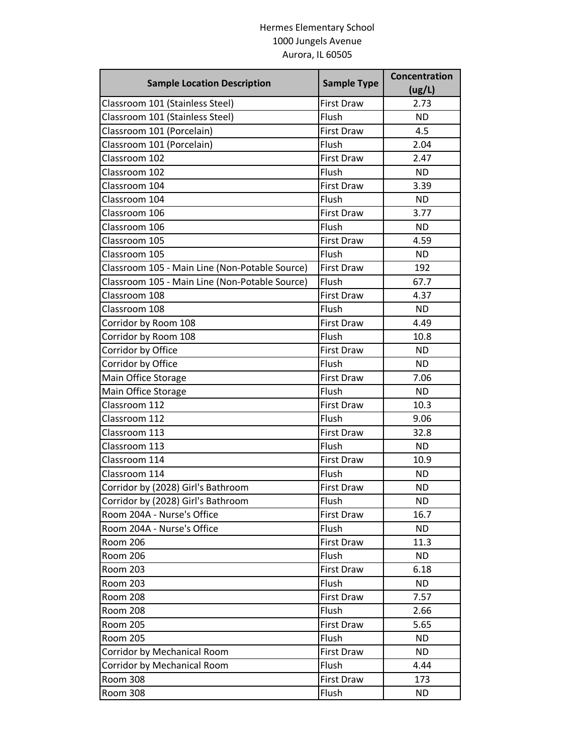## Hermes Elementary School 1000 Jungels Avenue Aurora, IL 60505

| <b>Sample Location Description</b>             | <b>Sample Type</b> | Concentration<br>(ug/L) |
|------------------------------------------------|--------------------|-------------------------|
| Classroom 101 (Stainless Steel)                | <b>First Draw</b>  | 2.73                    |
| Classroom 101 (Stainless Steel)                | Flush              | <b>ND</b>               |
| Classroom 101 (Porcelain)                      | <b>First Draw</b>  | 4.5                     |
| Classroom 101 (Porcelain)                      | Flush              | 2.04                    |
| Classroom 102                                  | <b>First Draw</b>  | 2.47                    |
| Classroom 102                                  | Flush              | <b>ND</b>               |
| Classroom 104                                  | <b>First Draw</b>  | 3.39                    |
| Classroom 104                                  | Flush              | <b>ND</b>               |
| Classroom 106                                  | <b>First Draw</b>  | 3.77                    |
| Classroom 106                                  | Flush              | <b>ND</b>               |
| Classroom 105                                  | <b>First Draw</b>  | 4.59                    |
| Classroom 105                                  | Flush              | <b>ND</b>               |
| Classroom 105 - Main Line (Non-Potable Source) | <b>First Draw</b>  | 192                     |
| Classroom 105 - Main Line (Non-Potable Source) | Flush              | 67.7                    |
| Classroom 108                                  | <b>First Draw</b>  | 4.37                    |
| Classroom 108                                  | Flush              | <b>ND</b>               |
| Corridor by Room 108                           | <b>First Draw</b>  | 4.49                    |
| Corridor by Room 108                           | Flush              | 10.8                    |
| Corridor by Office                             | <b>First Draw</b>  | <b>ND</b>               |
| Corridor by Office                             | Flush              | <b>ND</b>               |
| Main Office Storage                            | <b>First Draw</b>  | 7.06                    |
| Main Office Storage                            | Flush              | <b>ND</b>               |
| Classroom 112                                  | <b>First Draw</b>  | 10.3                    |
| Classroom 112                                  | Flush              | 9.06                    |
| Classroom 113                                  | <b>First Draw</b>  | 32.8                    |
| Classroom 113                                  | Flush              | <b>ND</b>               |
| Classroom 114                                  | <b>First Draw</b>  | 10.9                    |
| Classroom 114                                  | Flush              | <b>ND</b>               |
| Corridor by (2028) Girl's Bathroom             | <b>First Draw</b>  | <b>ND</b>               |
| Corridor by (2028) Girl's Bathroom             | Flush              | <b>ND</b>               |
| Room 204A - Nurse's Office                     | <b>First Draw</b>  | 16.7                    |
| Room 204A - Nurse's Office                     | Flush              | <b>ND</b>               |
| <b>Room 206</b>                                | <b>First Draw</b>  | 11.3                    |
| Room 206                                       | Flush              | <b>ND</b>               |
| <b>Room 203</b>                                | First Draw         | 6.18                    |
| <b>Room 203</b>                                | Flush              | <b>ND</b>               |
| Room 208                                       | First Draw         | 7.57                    |
| <b>Room 208</b>                                | Flush              | 2.66                    |
| <b>Room 205</b>                                | First Draw         | 5.65                    |
| <b>Room 205</b>                                | Flush              | <b>ND</b>               |
| Corridor by Mechanical Room                    | First Draw         | ND.                     |
| Corridor by Mechanical Room                    | Flush              | 4.44                    |
| Room 308                                       | First Draw         | 173                     |
| <b>Room 308</b>                                | Flush              | <b>ND</b>               |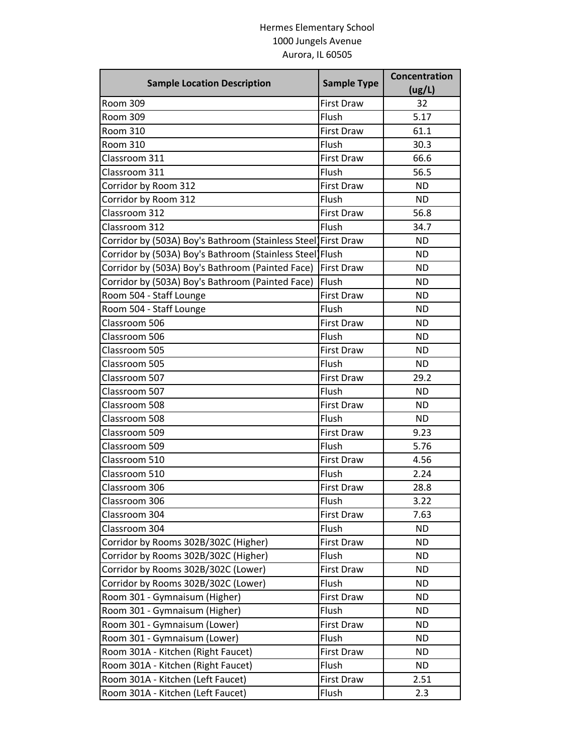## Hermes Elementary School 1000 Jungels Avenue Aurora, IL 60505

| <b>Sample Location Description</b>                            | <b>Sample Type</b> | Concentration |
|---------------------------------------------------------------|--------------------|---------------|
|                                                               |                    | (ug/L)        |
| <b>Room 309</b>                                               | <b>First Draw</b>  | 32            |
| <b>Room 309</b>                                               | Flush              | 5.17          |
| <b>Room 310</b>                                               | <b>First Draw</b>  | 61.1          |
| <b>Room 310</b>                                               | Flush              | 30.3          |
| Classroom 311                                                 | <b>First Draw</b>  | 66.6          |
| Classroom 311                                                 | Flush              | 56.5          |
| Corridor by Room 312                                          | <b>First Draw</b>  | <b>ND</b>     |
| Corridor by Room 312                                          | Flush              | <b>ND</b>     |
| Classroom 312                                                 | <b>First Draw</b>  | 56.8          |
| Classroom 312                                                 | Flush              | 34.7          |
| Corridor by (503A) Boy's Bathroom (Stainless Steel First Draw |                    | <b>ND</b>     |
| Corridor by (503A) Boy's Bathroom (Stainless Steel]Flush      |                    | <b>ND</b>     |
| Corridor by (503A) Boy's Bathroom (Painted Face)              | <b>First Draw</b>  | <b>ND</b>     |
| Corridor by (503A) Boy's Bathroom (Painted Face)              | Flush              | <b>ND</b>     |
| Room 504 - Staff Lounge                                       | <b>First Draw</b>  | <b>ND</b>     |
| Room 504 - Staff Lounge                                       | Flush              | <b>ND</b>     |
| Classroom 506                                                 | <b>First Draw</b>  | <b>ND</b>     |
| Classroom 506                                                 | Flush              | <b>ND</b>     |
| Classroom 505                                                 | <b>First Draw</b>  | <b>ND</b>     |
| Classroom 505                                                 | Flush              | <b>ND</b>     |
| Classroom 507                                                 | <b>First Draw</b>  | 29.2          |
| Classroom 507                                                 | Flush              | <b>ND</b>     |
| Classroom 508                                                 | <b>First Draw</b>  | <b>ND</b>     |
| Classroom 508                                                 | Flush              | <b>ND</b>     |
| Classroom 509                                                 | <b>First Draw</b>  | 9.23          |
| Classroom 509                                                 | Flush              | 5.76          |
| Classroom 510                                                 | <b>First Draw</b>  | 4.56          |
| Classroom 510                                                 | Flush              | 2.24          |
| Classroom 306                                                 | <b>First Draw</b>  | 28.8          |
| Classroom 306                                                 | Flush              | 3.22          |
| Classroom 304                                                 | First Draw         | 7.63          |
| Classroom 304                                                 | Flush              | <b>ND</b>     |
| Corridor by Rooms 302B/302C (Higher)                          | First Draw         | <b>ND</b>     |
| Corridor by Rooms 302B/302C (Higher)                          | Flush              | <b>ND</b>     |
| Corridor by Rooms 302B/302C (Lower)                           | First Draw         | <b>ND</b>     |
| Corridor by Rooms 302B/302C (Lower)                           | Flush              | <b>ND</b>     |
| Room 301 - Gymnaisum (Higher)                                 | <b>First Draw</b>  | <b>ND</b>     |
| Room 301 - Gymnaisum (Higher)                                 | Flush              | <b>ND</b>     |
| Room 301 - Gymnaisum (Lower)                                  | <b>First Draw</b>  | <b>ND</b>     |
| Room 301 - Gymnaisum (Lower)                                  | Flush              | <b>ND</b>     |
| Room 301A - Kitchen (Right Faucet)                            | First Draw         | <b>ND</b>     |
| Room 301A - Kitchen (Right Faucet)                            | Flush              | ND.           |
| Room 301A - Kitchen (Left Faucet)                             | First Draw         | 2.51          |
| Room 301A - Kitchen (Left Faucet)                             | Flush              | 2.3           |
|                                                               |                    |               |